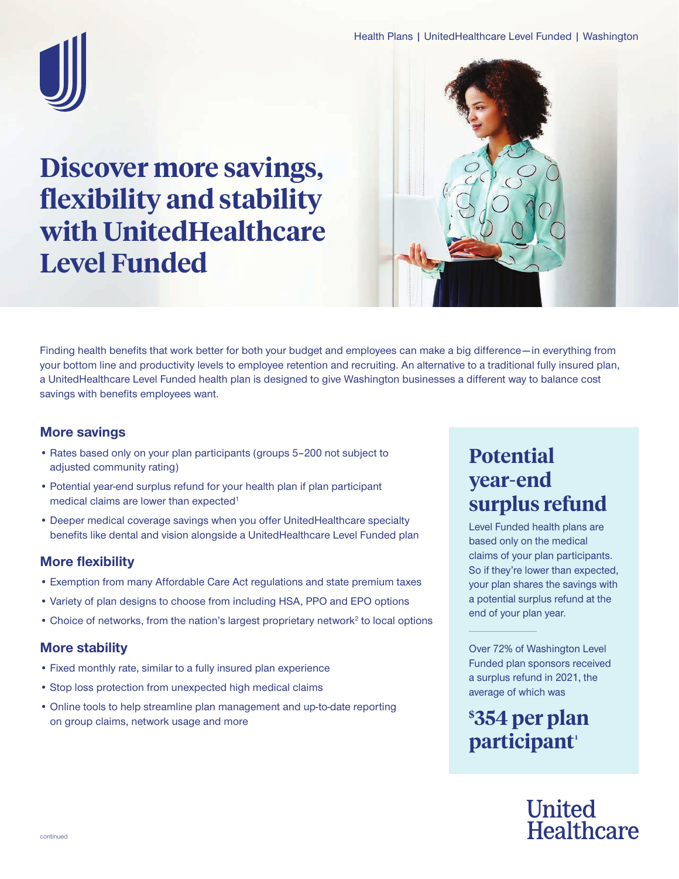

# **Discover more savings, flexibility and stability with UnitedHealthcare Level Funded**



Finding health benefits that work better for both your budget and employees can make a big difference—in everything from your bottom line and productivity levels to employee retention and recruiting. An alternative to a traditional fully insured plan, a UnitedHealthcare Level Funded health plan is designed to give Washington businesses a different way to balance cost savings with benefits employees want.

#### **More savings**

- Rates based only on your plan participants (groups 5–200 not subject to adjusted community rating)
- Potential year-end surplus refund for your health plan if plan participant medical claims are lower than expected<sup>1</sup>
- Deeper medical coverage savings when you offer UnitedHealthcare specialty benefits like dental and vision alongside a UnitedHealthcare Level Funded plan

## **More flexibility**

- Exemption from many Affordable Care Act regulations and state premium taxes
- Variety of plan designs to choose from including HSA, PPO and EPO options
- Choice of networks, from the nation's largest proprietary network<sup>2</sup> to local options

## **More stability**

- Fixed monthly rate, similar to a fully insured plan experience
- Stop loss protection from unexpected high medical claims
- Online tools to help streamline plan management and up-to-date reporting on group claims, network usage and more

## **Potential year-end surplus refund**

Level Funded health plans are based only on the medical claims of your plan participants. So if they're lower than expected, your plan shares the savings with a potential surplus refund at the end of your plan year.

Over 72% of Washington Level Funded plan sponsors received a surplus refund in 2021, the average of which was

**\$ 354 per plan**  participant<sup>1</sup>

## **United** Healthcare